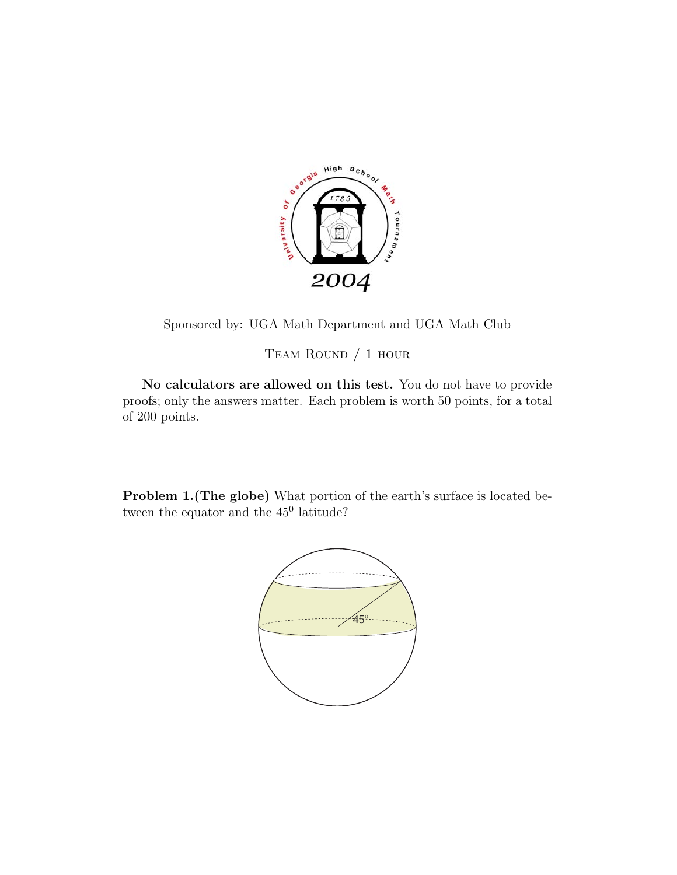

Sponsored by: UGA Math Department and UGA Math Club

Team Round / 1 hour

**No calculators are allowed on this test.** You do not have to provide proofs; only the answers matter. Each problem is worth 50 points, for a total of 200 points.

**Problem 1.(The globe)** What portion of the earth's surface is located between the equator and the  $45^{\circ}$  latitude?